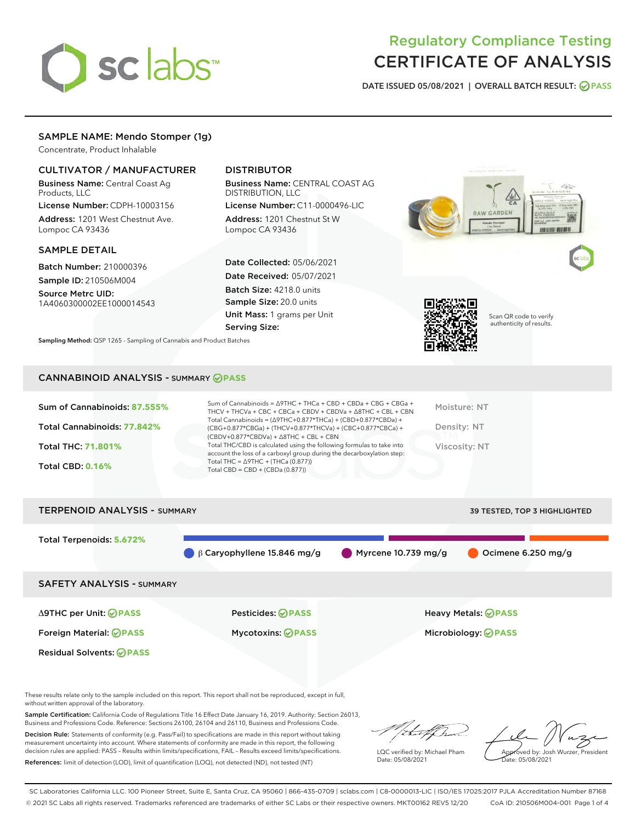# sclabs

# Regulatory Compliance Testing CERTIFICATE OF ANALYSIS

DATE ISSUED 05/08/2021 | OVERALL BATCH RESULT: @ PASS

# SAMPLE NAME: Mendo Stomper (1g)

Concentrate, Product Inhalable

# CULTIVATOR / MANUFACTURER

Business Name: Central Coast Ag Products, LLC

License Number: CDPH-10003156 Address: 1201 West Chestnut Ave. Lompoc CA 93436

#### SAMPLE DETAIL

Batch Number: 210000396 Sample ID: 210506M004

Source Metrc UID: 1A4060300002EE1000014543

# DISTRIBUTOR

Business Name: CENTRAL COAST AG DISTRIBUTION, LLC

License Number: C11-0000496-LIC Address: 1201 Chestnut St W Lompoc CA 93436

Date Collected: 05/06/2021 Date Received: 05/07/2021 Batch Size: 4218.0 units Sample Size: 20.0 units Unit Mass: 1 grams per Unit Serving Size:





Scan QR code to verify authenticity of results.

Sampling Method: QSP 1265 - Sampling of Cannabis and Product Batches

# CANNABINOID ANALYSIS - SUMMARY **PASS**

| Sum of Cannabinoids: 87.555% | Sum of Cannabinoids = $\triangle$ 9THC + THCa + CBD + CBDa + CBG + CBGa +<br>THCV + THCVa + CBC + CBCa + CBDV + CBDVa + $\Delta$ 8THC + CBL + CBN                                    | Moisture: NT  |
|------------------------------|--------------------------------------------------------------------------------------------------------------------------------------------------------------------------------------|---------------|
| Total Cannabinoids: 77.842%  | Total Cannabinoids = $(\Delta$ 9THC+0.877*THCa) + (CBD+0.877*CBDa) +<br>(CBG+0.877*CBGa) + (THCV+0.877*THCVa) + (CBC+0.877*CBCa) +<br>$(CBDV+0.877*CBDVa) + \Delta 8THC + CBL + CBN$ | Density: NT   |
| <b>Total THC: 71.801%</b>    | Total THC/CBD is calculated using the following formulas to take into<br>account the loss of a carboxyl group during the decarboxylation step:                                       | Viscosity: NT |
| <b>Total CBD: 0.16%</b>      | Total THC = $\triangle$ 9THC + (THCa (0.877))<br>Total CBD = $CBD + (CBDa (0.877))$                                                                                                  |               |
|                              |                                                                                                                                                                                      |               |

TERPENOID ANALYSIS - SUMMARY 39 TESTED, TOP 3 HIGHLIGHTED Total Terpenoids: **5.672%** β Caryophyllene 15.846 mg/g Myrcene 10.739 mg/g Ocimene 6.250 mg/g SAFETY ANALYSIS - SUMMARY Δ9THC per Unit: **PASS** Pesticides: **PASS** Heavy Metals: **PASS** Foreign Material: **PASS** Mycotoxins: **PASS** Microbiology: **PASS** Residual Solvents: **OPASS** 

These results relate only to the sample included on this report. This report shall not be reproduced, except in full, without written approval of the laboratory.

Sample Certification: California Code of Regulations Title 16 Effect Date January 16, 2019. Authority: Section 26013, Business and Professions Code. Reference: Sections 26100, 26104 and 26110, Business and Professions Code.

Decision Rule: Statements of conformity (e.g. Pass/Fail) to specifications are made in this report without taking measurement uncertainty into account. Where statements of conformity are made in this report, the following decision rules are applied: PASS – Results within limits/specifications, FAIL – Results exceed limits/specifications. References: limit of detection (LOD), limit of quantification (LOQ), not detected (ND), not tested (NT)

LQC verified by: Michael Pham Date: 05/08/2021

Approved by: Josh Wurzer, President ate: 05/08/2021

SC Laboratories California LLC. 100 Pioneer Street, Suite E, Santa Cruz, CA 95060 | 866-435-0709 | sclabs.com | C8-0000013-LIC | ISO/IES 17025:2017 PJLA Accreditation Number 87168 © 2021 SC Labs all rights reserved. Trademarks referenced are trademarks of either SC Labs or their respective owners. MKT00162 REV5 12/20 CoA ID: 210506M004-001 Page 1 of 4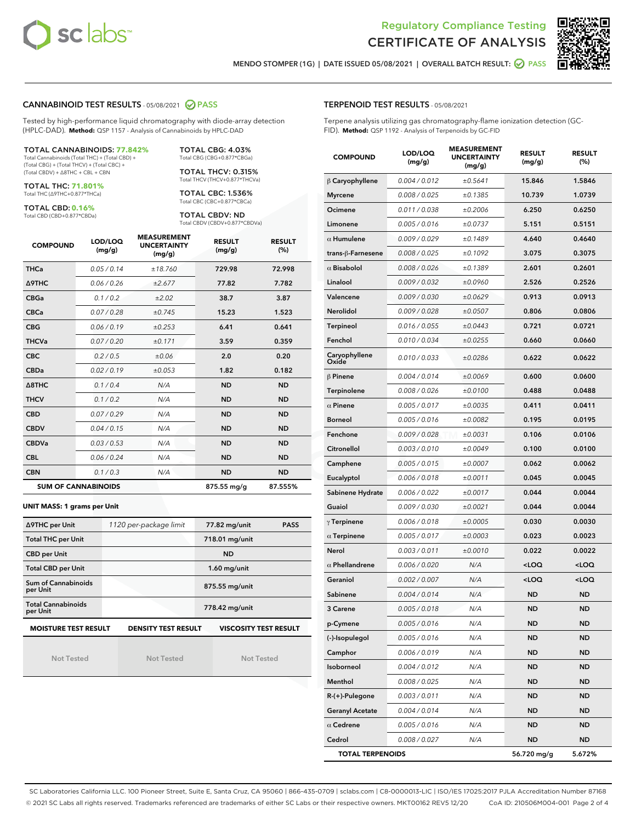



MENDO STOMPER (1G) | DATE ISSUED 05/08/2021 | OVERALL BATCH RESULT: **○** PASS

#### CANNABINOID TEST RESULTS - 05/08/2021 2 PASS

Tested by high-performance liquid chromatography with diode-array detection (HPLC-DAD). **Method:** QSP 1157 - Analysis of Cannabinoids by HPLC-DAD

#### TOTAL CANNABINOIDS: **77.842%** Total Cannabinoids (Total THC) + (Total CBD) +

(Total CBG) + (Total THCV) + (Total CBC) + (Total CBDV) + ∆8THC + CBL + CBN

TOTAL THC: **71.801%** Total THC (∆9THC+0.877\*THCa)

TOTAL CBD: **0.16%**

Total CBD (CBD+0.877\*CBDa)

TOTAL CBG: 4.03% Total CBG (CBG+0.877\*CBGa)

TOTAL THCV: 0.315% Total THCV (THCV+0.877\*THCVa)

TOTAL CBC: 1.536% Total CBC (CBC+0.877\*CBCa)

TOTAL CBDV: ND Total CBDV (CBDV+0.877\*CBDVa)

| <b>COMPOUND</b>  | LOD/LOQ<br>(mg/g)          | <b>MEASUREMENT</b><br><b>UNCERTAINTY</b><br>(mg/g) | <b>RESULT</b><br>(mg/g) | <b>RESULT</b><br>(%) |
|------------------|----------------------------|----------------------------------------------------|-------------------------|----------------------|
| <b>THCa</b>      | 0.05 / 0.14                | ±18.760                                            | 729.98                  | 72.998               |
| <b>A9THC</b>     | 0.06/0.26                  | ±2.677                                             | 77.82                   | 7.782                |
| <b>CBGa</b>      | 0.1 / 0.2                  | ±2.02                                              | 38.7                    | 3.87                 |
| <b>CBCa</b>      | 0.07/0.28                  | ±0.745                                             | 15.23                   | 1.523                |
| <b>CBG</b>       | 0.06/0.19                  | ±0.253                                             | 6.41                    | 0.641                |
| <b>THCVa</b>     | 0.07/0.20                  | ±0.171                                             | 3.59                    | 0.359                |
| <b>CBC</b>       | 0.2 / 0.5                  | ±0.06                                              | 2.0                     | 0.20                 |
| <b>CBDa</b>      | 0.02/0.19                  | ±0.053                                             | 1.82                    | 0.182                |
| $\triangle$ 8THC | 0.1/0.4                    | N/A                                                | <b>ND</b>               | <b>ND</b>            |
| <b>THCV</b>      | 0.1/0.2                    | N/A                                                | <b>ND</b>               | <b>ND</b>            |
| <b>CBD</b>       | 0.07/0.29                  | N/A                                                | <b>ND</b>               | <b>ND</b>            |
| <b>CBDV</b>      | 0.04/0.15                  | N/A                                                | <b>ND</b>               | <b>ND</b>            |
| <b>CBDVa</b>     | 0.03/0.53                  | N/A                                                | <b>ND</b>               | <b>ND</b>            |
| <b>CBL</b>       | 0.06 / 0.24                | N/A                                                | <b>ND</b>               | <b>ND</b>            |
| <b>CBN</b>       | 0.1/0.3                    | N/A                                                | <b>ND</b>               | <b>ND</b>            |
|                  | <b>SUM OF CANNABINOIDS</b> |                                                    | 875.55 mg/g             | 87.555%              |

#### **UNIT MASS: 1 grams per Unit**

| ∆9THC per Unit                        | 1120 per-package limit | 77.82 mg/unit<br><b>PASS</b> |  |
|---------------------------------------|------------------------|------------------------------|--|
| <b>Total THC per Unit</b>             |                        | 718.01 mg/unit               |  |
| <b>CBD per Unit</b>                   |                        | <b>ND</b>                    |  |
| <b>Total CBD per Unit</b>             |                        | $1.60$ mg/unit               |  |
| Sum of Cannabinoids<br>per Unit       |                        | 875.55 mg/unit               |  |
| <b>Total Cannabinoids</b><br>per Unit |                        | 778.42 mg/unit               |  |
| <b>MOISTURE TEST RESULT</b>           | DENSITY TEST RESULT    | <b>VISCOSITY TEST RESULT</b> |  |

Not Tested

Not Tested

Not Tested

#### TERPENOID TEST RESULTS - 05/08/2021

Terpene analysis utilizing gas chromatography-flame ionization detection (GC-FID). **Method:** QSP 1192 - Analysis of Terpenoids by GC-FID

| <b>COMPOUND</b>         | LOD/LOQ<br>(mg/g) | <b>MEASUREMENT</b><br><b>UNCERTAINTY</b><br>(mg/g) | <b>RESULT</b><br>(mg/g)                         | <b>RESULT</b><br>(%) |
|-------------------------|-------------------|----------------------------------------------------|-------------------------------------------------|----------------------|
| $\beta$ Caryophyllene   | 0.004 / 0.012     | ±0.5641                                            | 15.846                                          | 1.5846               |
| <b>Myrcene</b>          | 0.008 / 0.025     | ±0.1385                                            | 10.739                                          | 1.0739               |
| Ocimene                 | 0.011 / 0.038     | ±0.2006                                            | 6.250                                           | 0.6250               |
| Limonene                | 0.005 / 0.016     | ±0.0737                                            | 5.151                                           | 0.5151               |
| $\alpha$ Humulene       | 0.009/0.029       | ±0.1489                                            | 4.640                                           | 0.4640               |
| trans-ß-Farnesene       | 0.008 / 0.025     | ±0.1092                                            | 3.075                                           | 0.3075               |
| $\alpha$ Bisabolol      | 0.008 / 0.026     | ±0.1389                                            | 2.601                                           | 0.2601               |
| Linalool                | 0.009 / 0.032     | ±0.0960                                            | 2.526                                           | 0.2526               |
| Valencene               | 0.009 / 0.030     | ±0.0629                                            | 0.913                                           | 0.0913               |
| Nerolidol               | 0.009 / 0.028     | ±0.0507                                            | 0.806                                           | 0.0806               |
| Terpineol               | 0.016 / 0.055     | ±0.0443                                            | 0.721                                           | 0.0721               |
| Fenchol                 | 0.010 / 0.034     | ±0.0255                                            | 0.660                                           | 0.0660               |
| Caryophyllene<br>Oxide  | 0.010 / 0.033     | ±0.0286                                            | 0.622                                           | 0.0622               |
| $\beta$ Pinene          | 0.004 / 0.014     | ±0.0069                                            | 0.600                                           | 0.0600               |
| Terpinolene             | 0.008 / 0.026     | ±0.0100                                            | 0.488                                           | 0.0488               |
| $\alpha$ Pinene         | 0.005 / 0.017     | ±0.0035                                            | 0.411                                           | 0.0411               |
| <b>Borneol</b>          | 0.005 / 0.016     | ±0.0082                                            | 0.195                                           | 0.0195               |
| Fenchone                | 0.009/0.028       | ±0.0031                                            | 0.106                                           | 0.0106               |
| Citronellol             | 0.003 / 0.010     | ±0.0049                                            | 0.100                                           | 0.0100               |
| Camphene                | 0.005 / 0.015     | ±0.0007                                            | 0.062                                           | 0.0062               |
| Eucalyptol              | 0.006 / 0.018     | ±0.0011                                            | 0.045                                           | 0.0045               |
| Sabinene Hydrate        | 0.006 / 0.022     | ±0.0017                                            | 0.044                                           | 0.0044               |
| Guaiol                  | 0.009 / 0.030     | ±0.0021                                            | 0.044                                           | 0.0044               |
| $\gamma$ Terpinene      | 0.006 / 0.018     | ±0.0005                                            | 0.030                                           | 0.0030               |
| $\alpha$ Terpinene      | 0.005 / 0.017     | ±0.0003                                            | 0.023                                           | 0.0023               |
| Nerol                   | 0.003 / 0.011     | ±0.0010                                            | 0.022                                           | 0.0022               |
| $\alpha$ Phellandrene   | 0.006 / 0.020     | N/A                                                | <loq< th=""><th><loq< th=""></loq<></th></loq<> | <loq< th=""></loq<>  |
| Geraniol                | 0.002 / 0.007     | N/A                                                | <loq< th=""><th><loq< th=""></loq<></th></loq<> | <loq< th=""></loq<>  |
| Sabinene                | 0.004 / 0.014     | N/A                                                | <b>ND</b>                                       | <b>ND</b>            |
| 3 Carene                | 0.005 / 0.018     | N/A                                                | <b>ND</b>                                       | <b>ND</b>            |
| p-Cymene                | 0.005 / 0.016     | N/A                                                | ND                                              | ND                   |
| (-)-Isopulegol          | 0.005 / 0.016     | N/A                                                | <b>ND</b>                                       | ND                   |
| Camphor                 | 0.006 / 0.019     | N/A                                                | <b>ND</b>                                       | <b>ND</b>            |
| Isoborneol              | 0.004 / 0.012     | N/A                                                | ND                                              | ND                   |
| Menthol                 | 0.008 / 0.025     | N/A                                                | ND                                              | ND                   |
| $R-(+)$ -Pulegone       | 0.003 / 0.011     | N/A                                                | <b>ND</b>                                       | <b>ND</b>            |
| <b>Geranyl Acetate</b>  | 0.004 / 0.014     | N/A                                                | ND                                              | ND                   |
| $\alpha$ Cedrene        | 0.005 / 0.016     | N/A                                                | ND                                              | ND                   |
| Cedrol                  | 0.008 / 0.027     | N/A                                                | <b>ND</b>                                       | ND                   |
| <b>TOTAL TERPENOIDS</b> |                   |                                                    | 56.720 mg/g                                     | 5.672%               |

SC Laboratories California LLC. 100 Pioneer Street, Suite E, Santa Cruz, CA 95060 | 866-435-0709 | sclabs.com | C8-0000013-LIC | ISO/IES 17025:2017 PJLA Accreditation Number 87168 © 2021 SC Labs all rights reserved. Trademarks referenced are trademarks of either SC Labs or their respective owners. MKT00162 REV5 12/20 CoA ID: 210506M004-001 Page 2 of 4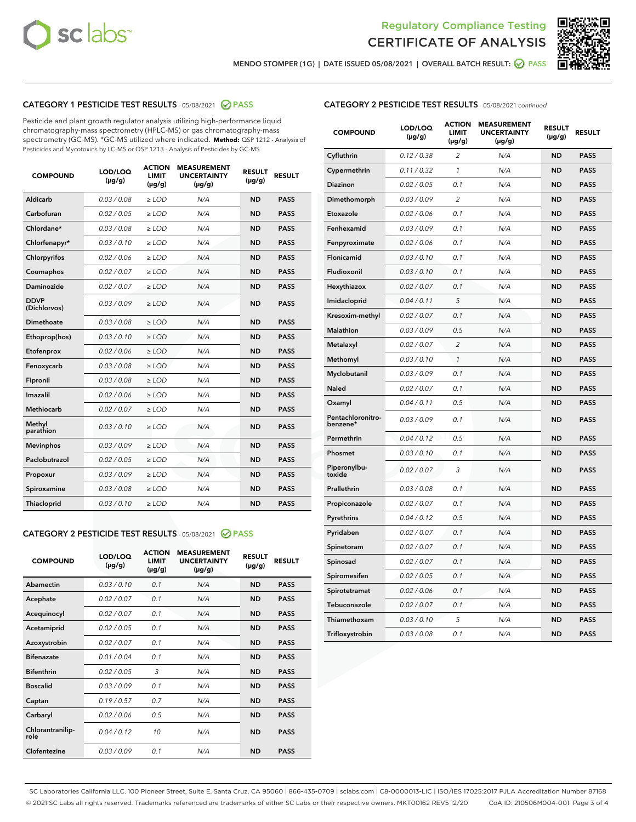



MENDO STOMPER (1G) | DATE ISSUED 05/08/2021 | OVERALL BATCH RESULT: Ø PASS

# CATEGORY 1 PESTICIDE TEST RESULTS - 05/08/2021 2 PASS

Pesticide and plant growth regulator analysis utilizing high-performance liquid chromatography-mass spectrometry (HPLC-MS) or gas chromatography-mass spectrometry (GC-MS). \*GC-MS utilized where indicated. **Method:** QSP 1212 - Analysis of Pesticides and Mycotoxins by LC-MS or QSP 1213 - Analysis of Pesticides by GC-MS

| <b>COMPOUND</b>             | LOD/LOQ<br>$(\mu g/g)$ | <b>ACTION</b><br><b>LIMIT</b><br>$(\mu g/g)$ | <b>MEASUREMENT</b><br><b>UNCERTAINTY</b><br>$(\mu g/g)$ | <b>RESULT</b><br>$(\mu g/g)$ | <b>RESULT</b> |
|-----------------------------|------------------------|----------------------------------------------|---------------------------------------------------------|------------------------------|---------------|
| Aldicarb                    | 0.03/0.08              | $>$ LOD                                      | N/A                                                     | <b>ND</b>                    | <b>PASS</b>   |
| Carbofuran                  | 0.02 / 0.05            | $\ge$ LOD                                    | N/A                                                     | <b>ND</b>                    | <b>PASS</b>   |
| Chlordane*                  | 0.03 / 0.08            | $\geq$ LOD                                   | N/A                                                     | <b>ND</b>                    | <b>PASS</b>   |
| Chlorfenapyr*               | 0.03/0.10              | $\ge$ LOD                                    | N/A                                                     | <b>ND</b>                    | <b>PASS</b>   |
| Chlorpyrifos                | 0.02 / 0.06            | $\ge$ LOD                                    | N/A                                                     | <b>ND</b>                    | <b>PASS</b>   |
| Coumaphos                   | 0.02 / 0.07            | $\ge$ LOD                                    | N/A                                                     | <b>ND</b>                    | <b>PASS</b>   |
| Daminozide                  | 0.02/0.07              | $>$ LOD                                      | N/A                                                     | <b>ND</b>                    | <b>PASS</b>   |
| <b>DDVP</b><br>(Dichlorvos) | 0.03/0.09              | $\ge$ LOD                                    | N/A                                                     | <b>ND</b>                    | <b>PASS</b>   |
| <b>Dimethoate</b>           | 0.03/0.08              | $\ge$ LOD                                    | N/A                                                     | <b>ND</b>                    | <b>PASS</b>   |
| Ethoprop(hos)               | 0.03/0.10              | $\ge$ LOD                                    | N/A                                                     | <b>ND</b>                    | <b>PASS</b>   |
| Etofenprox                  | 0.02 / 0.06            | $\ge$ LOD                                    | N/A                                                     | <b>ND</b>                    | <b>PASS</b>   |
| Fenoxycarb                  | 0.03/0.08              | $\ge$ LOD                                    | N/A                                                     | <b>ND</b>                    | <b>PASS</b>   |
| Fipronil                    | 0.03/0.08              | $\ge$ LOD                                    | N/A                                                     | <b>ND</b>                    | <b>PASS</b>   |
| Imazalil                    | 0.02 / 0.06            | $>$ LOD                                      | N/A                                                     | <b>ND</b>                    | <b>PASS</b>   |
| Methiocarb                  | 0.02 / 0.07            | $>$ LOD                                      | N/A                                                     | <b>ND</b>                    | <b>PASS</b>   |
| Methyl<br>parathion         | 0.03/0.10              | $>$ LOD                                      | N/A                                                     | <b>ND</b>                    | <b>PASS</b>   |
| <b>Mevinphos</b>            | 0.03/0.09              | $\ge$ LOD                                    | N/A                                                     | <b>ND</b>                    | <b>PASS</b>   |
| Paclobutrazol               | 0.02 / 0.05            | $>$ LOD                                      | N/A                                                     | <b>ND</b>                    | <b>PASS</b>   |
| Propoxur                    | 0.03/0.09              | $\ge$ LOD                                    | N/A                                                     | <b>ND</b>                    | <b>PASS</b>   |
| Spiroxamine                 | 0.03 / 0.08            | $\ge$ LOD                                    | N/A                                                     | <b>ND</b>                    | <b>PASS</b>   |
| Thiacloprid                 | 0.03/0.10              | $\ge$ LOD                                    | N/A                                                     | <b>ND</b>                    | <b>PASS</b>   |

#### CATEGORY 2 PESTICIDE TEST RESULTS - 05/08/2021 @ PASS

| <b>COMPOUND</b>          | LOD/LOQ<br>$(\mu g/g)$ | <b>ACTION</b><br><b>LIMIT</b><br>$(\mu g/g)$ | <b>MEASUREMENT</b><br><b>UNCERTAINTY</b><br>$(\mu g/g)$ | <b>RESULT</b><br>$(\mu g/g)$ | <b>RESULT</b> |
|--------------------------|------------------------|----------------------------------------------|---------------------------------------------------------|------------------------------|---------------|
| Abamectin                | 0.03/0.10              | 0.1                                          | N/A                                                     | <b>ND</b>                    | <b>PASS</b>   |
| Acephate                 | 0.02/0.07              | 0.1                                          | N/A                                                     | <b>ND</b>                    | <b>PASS</b>   |
| Acequinocyl              | 0.02/0.07              | 0.1                                          | N/A                                                     | <b>ND</b>                    | <b>PASS</b>   |
| Acetamiprid              | 0.02/0.05              | 0.1                                          | N/A                                                     | <b>ND</b>                    | <b>PASS</b>   |
| Azoxystrobin             | 0.02/0.07              | 0.1                                          | N/A                                                     | <b>ND</b>                    | <b>PASS</b>   |
| <b>Bifenazate</b>        | 0.01/0.04              | 0.1                                          | N/A                                                     | <b>ND</b>                    | <b>PASS</b>   |
| <b>Bifenthrin</b>        | 0.02 / 0.05            | 3                                            | N/A                                                     | <b>ND</b>                    | <b>PASS</b>   |
| <b>Boscalid</b>          | 0.03/0.09              | 0.1                                          | N/A                                                     | <b>ND</b>                    | <b>PASS</b>   |
| Captan                   | 0.19/0.57              | 0.7                                          | N/A                                                     | <b>ND</b>                    | <b>PASS</b>   |
| Carbaryl                 | 0.02/0.06              | 0.5                                          | N/A                                                     | <b>ND</b>                    | <b>PASS</b>   |
| Chlorantranilip-<br>role | 0.04/0.12              | 10                                           | N/A                                                     | <b>ND</b>                    | <b>PASS</b>   |
| Clofentezine             | 0.03/0.09              | 0.1                                          | N/A                                                     | <b>ND</b>                    | <b>PASS</b>   |

| <b>CATEGORY 2 PESTICIDE TEST RESULTS</b> - 05/08/2021 continued |
|-----------------------------------------------------------------|
|-----------------------------------------------------------------|

| <b>COMPOUND</b>               | LOD/LOQ<br>(µg/g) | <b>ACTION</b><br>LIMIT<br>$(\mu g/g)$ | <b>MEASUREMENT</b><br><b>UNCERTAINTY</b><br>$(\mu g/g)$ | <b>RESULT</b><br>(µg/g) | <b>RESULT</b> |
|-------------------------------|-------------------|---------------------------------------|---------------------------------------------------------|-------------------------|---------------|
| Cyfluthrin                    | 0.12 / 0.38       | $\overline{2}$                        | N/A                                                     | <b>ND</b>               | <b>PASS</b>   |
| Cypermethrin                  | 0.11 / 0.32       | 1                                     | N/A                                                     | <b>ND</b>               | <b>PASS</b>   |
| Diazinon                      | 0.02 / 0.05       | 0.1                                   | N/A                                                     | <b>ND</b>               | <b>PASS</b>   |
| Dimethomorph                  | 0.03/0.09         | $\overline{2}$                        | N/A                                                     | <b>ND</b>               | <b>PASS</b>   |
| Etoxazole                     | 0.02 / 0.06       | 0.1                                   | N/A                                                     | <b>ND</b>               | <b>PASS</b>   |
| Fenhexamid                    | 0.03 / 0.09       | 0.1                                   | N/A                                                     | <b>ND</b>               | <b>PASS</b>   |
| Fenpyroximate                 | 0.02 / 0.06       | 0.1                                   | N/A                                                     | <b>ND</b>               | <b>PASS</b>   |
| <b>Flonicamid</b>             | 0.03 / 0.10       | 0.1                                   | N/A                                                     | <b>ND</b>               | <b>PASS</b>   |
| Fludioxonil                   | 0.03 / 0.10       | 0.1                                   | N/A                                                     | <b>ND</b>               | <b>PASS</b>   |
| Hexythiazox                   | 0.02 / 0.07       | 0.1                                   | N/A                                                     | <b>ND</b>               | <b>PASS</b>   |
| Imidacloprid                  | 0.04 / 0.11       | 5                                     | N/A                                                     | <b>ND</b>               | <b>PASS</b>   |
| Kresoxim-methyl               | 0.02 / 0.07       | 0.1                                   | N/A                                                     | <b>ND</b>               | <b>PASS</b>   |
| Malathion                     | 0.03 / 0.09       | 0.5                                   | N/A                                                     | <b>ND</b>               | <b>PASS</b>   |
| Metalaxyl                     | 0.02 / 0.07       | $\overline{c}$                        | N/A                                                     | <b>ND</b>               | <b>PASS</b>   |
| Methomyl                      | 0.03 / 0.10       | $\mathcal{I}$                         | N/A                                                     | <b>ND</b>               | <b>PASS</b>   |
| Myclobutanil                  | 0.03/0.09         | 0.1                                   | N/A                                                     | <b>ND</b>               | <b>PASS</b>   |
| Naled                         | 0.02 / 0.07       | 0.1                                   | N/A                                                     | ND                      | <b>PASS</b>   |
| Oxamyl                        | 0.04 / 0.11       | 0.5                                   | N/A                                                     | <b>ND</b>               | <b>PASS</b>   |
| Pentachloronitro-<br>benzene* | 0.03 / 0.09       | 0.1                                   | N/A                                                     | <b>ND</b>               | <b>PASS</b>   |
| Permethrin                    | 0.04/0.12         | 0.5                                   | N/A                                                     | <b>ND</b>               | <b>PASS</b>   |
| Phosmet                       | 0.03 / 0.10       | 0.1                                   | N/A                                                     | <b>ND</b>               | <b>PASS</b>   |
| Piperonylbu-<br>toxide        | 0.02 / 0.07       | 3                                     | N/A                                                     | <b>ND</b>               | <b>PASS</b>   |
| Prallethrin                   | 0.03 / 0.08       | 0.1                                   | N/A                                                     | <b>ND</b>               | <b>PASS</b>   |
| Propiconazole                 | 0.02 / 0.07       | 0.1                                   | N/A                                                     | <b>ND</b>               | <b>PASS</b>   |
| Pyrethrins                    | 0.04 / 0.12       | 0.5                                   | N/A                                                     | <b>ND</b>               | <b>PASS</b>   |
| Pyridaben                     | 0.02 / 0.07       | 0.1                                   | N/A                                                     | <b>ND</b>               | <b>PASS</b>   |
| Spinetoram                    | 0.02 / 0.07       | 0.1                                   | N/A                                                     | ND                      | <b>PASS</b>   |
| Spinosad                      | 0.02 / 0.07       | 0.1                                   | N/A                                                     | <b>ND</b>               | <b>PASS</b>   |
| Spiromesifen                  | 0.02 / 0.05       | 0.1                                   | N/A                                                     | <b>ND</b>               | <b>PASS</b>   |
| Spirotetramat                 | 0.02 / 0.06       | 0.1                                   | N/A                                                     | <b>ND</b>               | <b>PASS</b>   |
| Tebuconazole                  | 0.02 / 0.07       | 0.1                                   | N/A                                                     | <b>ND</b>               | <b>PASS</b>   |
| Thiamethoxam                  | 0.03 / 0.10       | 5                                     | N/A                                                     | <b>ND</b>               | <b>PASS</b>   |
| Trifloxystrobin               | 0.03 / 0.08       | 0.1                                   | N/A                                                     | <b>ND</b>               | <b>PASS</b>   |

SC Laboratories California LLC. 100 Pioneer Street, Suite E, Santa Cruz, CA 95060 | 866-435-0709 | sclabs.com | C8-0000013-LIC | ISO/IES 17025:2017 PJLA Accreditation Number 87168 © 2021 SC Labs all rights reserved. Trademarks referenced are trademarks of either SC Labs or their respective owners. MKT00162 REV5 12/20 CoA ID: 210506M004-001 Page 3 of 4